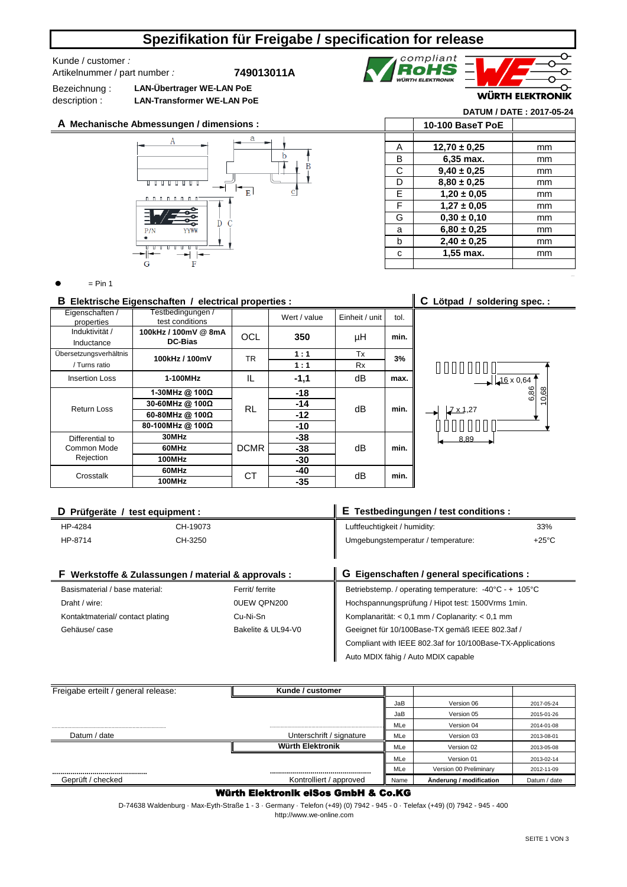# **Spezifikation für Freigabe / specification for release**

### Kunde / customer *:*  Artikelnummer / part number *:*

**749013011A**

Bezeichnung : description : **LAN-Übertrager WE-LAN PoE LAN-Transformer WE-LAN PoE**

**A Mechanische Abmessungen / dimensions :**





**WÜRTH ELEKTRONIK** 

### **DATUM / DATE : 2017-05-24**

|   | 10-100 BaseT PoE |    |
|---|------------------|----|
|   |                  |    |
| А | $12,70 \pm 0.25$ | mm |
| в | 6,35 max.        | mm |
| C | $9,40 \pm 0,25$  | mm |
| D | $8,80 \pm 0,25$  | mm |
| Е | $1,20 \pm 0,05$  | mm |
| F | $1,27 \pm 0,05$  | mm |
| G | $0.30 \pm 0.10$  | mm |
| a | $6,80 \pm 0,25$  | mm |
| b | $2,40 \pm 0,25$  | mm |
| C | 1,55 max.        | mm |
|   |                  |    |

 $=$  Pin 1

## **B Elektrische Eigenschaften / electrical properties : C Lötpad / soldering spec. :**

| Eigenschaften /<br>properties | Testbedingungen /<br>test conditions |             | Wert / value | Einheit / unit | tol. |  |
|-------------------------------|--------------------------------------|-------------|--------------|----------------|------|--|
| Induktivität /<br>Inductance  | 100kHz / 100mV @ 8mA<br>DC-Bias      | <b>OCL</b>  | 350          | μH             | min. |  |
|                               |                                      |             |              |                |      |  |
| Ubersetzungsverhältnis        | 100kHz / 100mV                       | TR          | 1:1          | Tx             | 3%   |  |
| / Turns ratio                 |                                      |             | 1:1          | <b>Rx</b>      |      |  |
| <b>Insertion Loss</b>         | 1-100MHz                             | IL          | $-1,1$       | dB             | max. |  |
|                               | 1-30MHz @ $100\Omega$                |             | $-18$        |                | min. |  |
| <b>Return Loss</b>            | 30-60MHz @ 100Ω                      | <b>RL</b>   | $-14$        | dB             |      |  |
|                               | 60-80MHz @ 100Ω                      |             |              | $-12$          |      |  |
|                               | 80-100MHz @ 100Ω                     |             | $-10$        |                |      |  |
| Differential to               | 30MHz                                |             | -38          |                | min. |  |
| Common Mode                   | 60MHz                                | <b>DCMR</b> | $-38$        | dB             |      |  |
| Rejection                     | 100MHz                               |             | $-30$        |                |      |  |
| Crosstalk                     | 60MHz                                | СT          | $-40$        | dB             | min. |  |
|                               | 100MHz                               |             | $-35$        |                |      |  |



| D Prüfgeräte / test equipment :                   |                                                            | E Testbedingungen / test conditions :                  |                 |  |  |
|---------------------------------------------------|------------------------------------------------------------|--------------------------------------------------------|-----------------|--|--|
| HP-4284                                           | CH-19073                                                   | Luftfeuchtigkeit / humidity:<br>33%                    |                 |  |  |
| HP-8714                                           | CH-3250                                                    | Umgebungstemperatur / temperature:                     | $+25^{\circ}$ C |  |  |
|                                                   |                                                            |                                                        |                 |  |  |
|                                                   | F Werkstoffe & Zulassungen / material & approvals :        | G Eigenschaften / general specifications :             |                 |  |  |
| Basismaterial / base material:<br>Ferrit/ ferrite |                                                            | Betriebstemp. / operating temperature: -40°C - + 105°C |                 |  |  |
| 0UEW QPN200<br>Draht / wire:                      |                                                            | Hochspannungsprüfung / Hipot test: 1500Vrms 1min.      |                 |  |  |
| Kontaktmaterial/contact plating<br>Cu-Ni-Sn       |                                                            | Komplanarität: < 0.1 mm / Coplanarity: < 0.1 mm        |                 |  |  |
| Bakelite & UL94-V0<br>Gehäuse/ case               |                                                            | Geeignet für 10/100Base-TX gemäß IEEE 802.3af /        |                 |  |  |
|                                                   | Compliant with IEEE 802.3af for 10/100Base-TX-Applications |                                                        |                 |  |  |
|                                                   |                                                            | Auto MDIX fähig / Auto MDIX capable                    |                 |  |  |

| Freigabe erteilt / general release: | Kunde / customer         |      |                         |              |
|-------------------------------------|--------------------------|------|-------------------------|--------------|
|                                     |                          | JaB  | Version 06              | 2017-05-24   |
|                                     |                          | JaB  | Version 05              | 2015-01-26   |
|                                     |                          | MLe  | Version 04              | 2014-01-08   |
| Datum / date                        | Unterschrift / signature | MLe  | Version 03              | 2013-08-01   |
|                                     | Würth Elektronik         | MLe  | Version 02              | 2013-05-08   |
|                                     |                          | MLe  | Version 01              | 2013-02-14   |
|                                     |                          | MLe  | Version 00 Preliminary  | 2012-11-09   |
| Geprüft / checked                   | Kontrolliert / approved  | Name | Änderung / modification | Datum / date |

## Würth Elektronik eiSos GmbH & Co.KG

D-74638 Waldenburg · Max-Eyth-Straße 1 - 3 · Germany · Telefon (+49) (0) 7942 - 945 - 0 · Telefax (+49) (0) 7942 - 945 - 400

http://www.we-online.com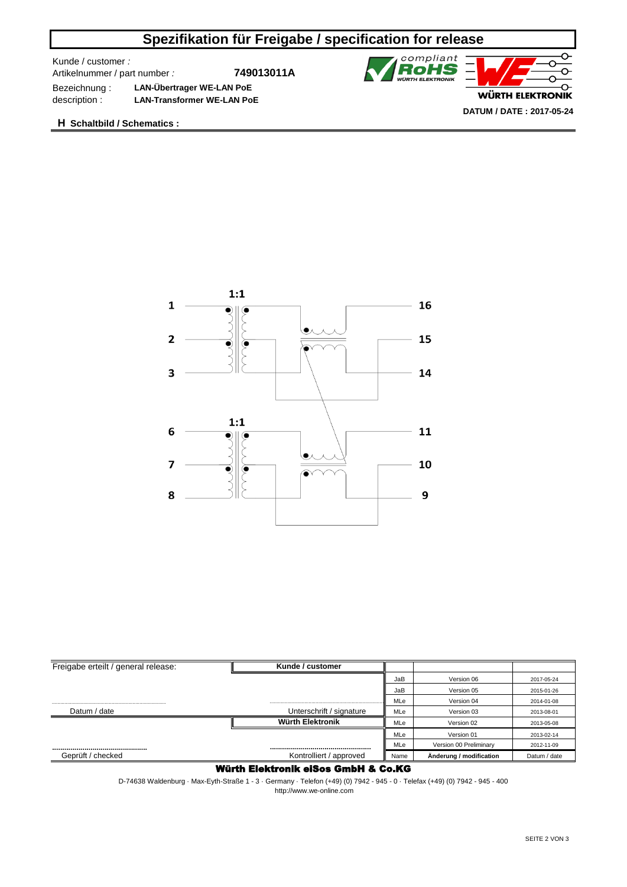# **Spezifikation für Freigabe / specification for release**

Kunde / customer *:* 

Artikelnummer / part number *:*

**749013011A**



Bezeichnung : **LAN-Übertrager WE-LAN PoE** description : **LAN-Transformer WE-LAN PoE**

**H Schaltbild / Schematics :**



| Freigabe erteilt / general release: | Kunde / customer         |      |                         |              |
|-------------------------------------|--------------------------|------|-------------------------|--------------|
|                                     |                          | JaB  | Version 06              | 2017-05-24   |
|                                     |                          | JaB  | Version 05              | 2015-01-26   |
|                                     |                          | MLe  | Version 04              | 2014-01-08   |
| Datum / date                        | Unterschrift / signature | MLe  | Version 03              | 2013-08-01   |
|                                     | Würth Elektronik         | MLe  | Version 02              | 2013-05-08   |
|                                     |                          | MLe  | Version 01              | 2013-02-14   |
|                                     |                          | MLe  | Version 00 Preliminary  | 2012-11-09   |
| Geprüft / checked                   | Kontrolliert / approved  | Name | Änderung / modification | Datum / date |

## Würth Elektronik eiSos GmbH & Co.KG

D-74638 Waldenburg · Max-Eyth-Straße 1 - 3 · Germany · Telefon (+49) (0) 7942 - 945 - 0 · Telefax (+49) (0) 7942 - 945 - 400 http://www.we-online.com